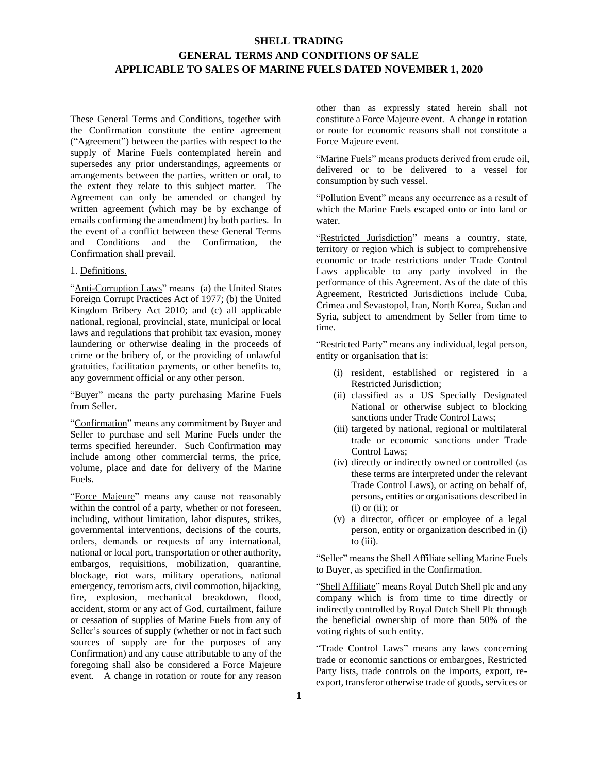## **SHELL TRADING GENERAL TERMS AND CONDITIONS OF SALE APPLICABLE TO SALES OF MARINE FUELS DATED NOVEMBER 1, 2020**

These General Terms and Conditions, together with the Confirmation constitute the entire agreement ("Agreement") between the parties with respect to the supply of Marine Fuels contemplated herein and supersedes any prior understandings, agreements or arrangements between the parties, written or oral, to the extent they relate to this subject matter. The Agreement can only be amended or changed by written agreement (which may be by exchange of emails confirming the amendment) by both parties. In the event of a conflict between these General Terms and Conditions and the Confirmation, the Confirmation shall prevail.

## 1. Definitions.

"Anti-Corruption Laws" means (a) the United States Foreign Corrupt Practices Act of 1977; (b) the United Kingdom Bribery Act 2010; and (c) all applicable national, regional, provincial, state, municipal or local laws and regulations that prohibit tax evasion, money laundering or otherwise dealing in the proceeds of crime or the bribery of, or the providing of unlawful gratuities, facilitation payments, or other benefits to, any government official or any other person.

"Buyer" means the party purchasing Marine Fuels from Seller.

"Confirmation" means any commitment by Buyer and Seller to purchase and sell Marine Fuels under the terms specified hereunder. Such Confirmation may include among other commercial terms, the price, volume, place and date for delivery of the Marine Fuels.

"Force Majeure" means any cause not reasonably within the control of a party, whether or not foreseen. including, without limitation, labor disputes, strikes, governmental interventions, decisions of the courts, orders, demands or requests of any international, national or local port, transportation or other authority, embargos, requisitions, mobilization, quarantine, blockage, riot wars, military operations, national emergency, terrorism acts, civil commotion, hijacking, fire, explosion, mechanical breakdown, flood, accident, storm or any act of God, curtailment, failure or cessation of supplies of Marine Fuels from any of Seller's sources of supply (whether or not in fact such sources of supply are for the purposes of any Confirmation) and any cause attributable to any of the foregoing shall also be considered a Force Majeure event. A change in rotation or route for any reason

other than as expressly stated herein shall not constitute a Force Majeure event. A change in rotation or route for economic reasons shall not constitute a Force Majeure event.

"Marine Fuels" means products derived from crude oil, delivered or to be delivered to a vessel for consumption by such vessel.

"Pollution Event" means any occurrence as a result of which the Marine Fuels escaped onto or into land or water.

"Restricted Jurisdiction" means a country, state, territory or region which is subject to comprehensive economic or trade restrictions under Trade Control Laws applicable to any party involved in the performance of this Agreement. As of the date of this Agreement, Restricted Jurisdictions include Cuba, Crimea and Sevastopol, Iran, North Korea, Sudan and Syria, subject to amendment by Seller from time to time.

"Restricted Party" means any individual, legal person, entity or organisation that is:

- (i) resident, established or registered in a Restricted Jurisdiction;
- (ii) classified as a US Specially Designated National or otherwise subject to blocking sanctions under Trade Control Laws;
- (iii) targeted by national, regional or multilateral trade or economic sanctions under Trade Control Laws;
- (iv) directly or indirectly owned or controlled (as these terms are interpreted under the relevant Trade Control Laws), or acting on behalf of, persons, entities or organisations described in  $(i)$  or  $(ii)$ ; or
- (v) a director, officer or employee of a legal person, entity or organization described in (i) to (iii).

"Seller" means the Shell Affiliate selling Marine Fuels to Buyer, as specified in the Confirmation.

"Shell Affiliate" means Royal Dutch Shell plc and any company which is from time to time directly or indirectly controlled by Royal Dutch Shell Plc through the beneficial ownership of more than 50% of the voting rights of such entity.

"Trade Control Laws" means any laws concerning trade or economic sanctions or embargoes, Restricted Party lists, trade controls on the imports, export, reexport, transferor otherwise trade of goods, services or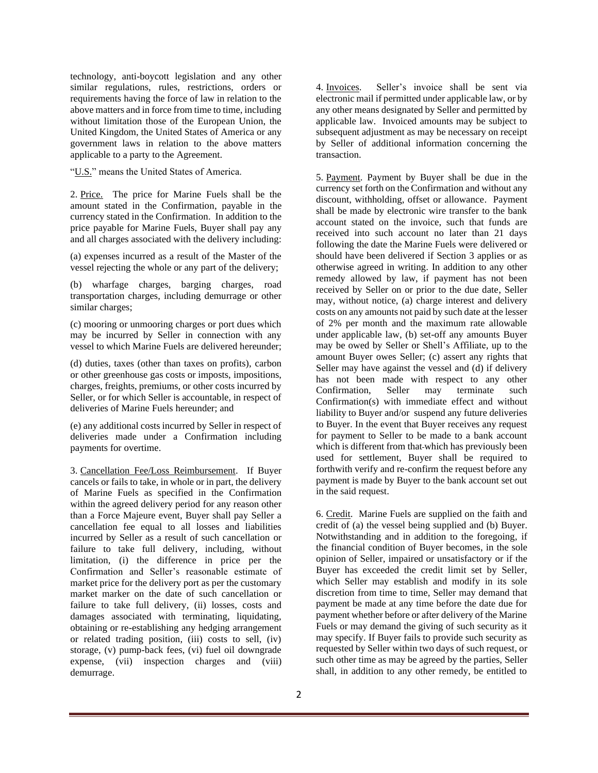technology, anti-boycott legislation and any other similar regulations, rules, restrictions, orders or requirements having the force of law in relation to the above matters and in force from time to time, including without limitation those of the European Union, the United Kingdom, the United States of America or any government laws in relation to the above matters applicable to a party to the Agreement.

"U.S." means the United States of America.

2. Price. The price for Marine Fuels shall be the amount stated in the Confirmation, payable in the currency stated in the Confirmation. In addition to the price payable for Marine Fuels, Buyer shall pay any and all charges associated with the delivery including:

(a) expenses incurred as a result of the Master of the vessel rejecting the whole or any part of the delivery;

(b) wharfage charges, barging charges, road transportation charges, including demurrage or other similar charges;

(c) mooring or unmooring charges or port dues which may be incurred by Seller in connection with any vessel to which Marine Fuels are delivered hereunder;

(d) duties, taxes (other than taxes on profits), carbon or other greenhouse gas costs or imposts, impositions, charges, freights, premiums, or other costs incurred by Seller, or for which Seller is accountable, in respect of deliveries of Marine Fuels hereunder; and

(e) any additional costs incurred by Seller in respect of deliveries made under a Confirmation including payments for overtime.

<span id="page-1-0"></span>3. Cancellation Fee/Loss Reimbursement. If Buyer cancels or fails to take, in whole or in part, the delivery of Marine Fuels as specified in the Confirmation within the agreed delivery period for any reason other than a Force Majeure event, Buyer shall pay Seller a cancellation fee equal to all losses and liabilities incurred by Seller as a result of such cancellation or failure to take full delivery, including, without limitation, (i) the difference in price per the Confirmation and Seller's reasonable estimate of market price for the delivery port as per the customary market marker on the date of such cancellation or failure to take full delivery, (ii) losses, costs and damages associated with terminating, liquidating, obtaining or re-establishing any hedging arrangement or related trading position, (iii) costs to sell, (iv) storage, (v) pump-back fees, (vi) fuel oil downgrade expense, (vii) inspection charges and (viii) demurrage.

4. Invoices. Seller's invoice shall be sent via electronic mail if permitted under applicable law, or by any other means designated by Seller and permitted by applicable law. Invoiced amounts may be subject to subsequent adjustment as may be necessary on receipt by Seller of additional information concerning the transaction.

5. Payment. Payment by Buyer shall be due in the currency set forth on the Confirmation and without any discount, withholding, offset or allowance. Payment shall be made by electronic wire transfer to the bank account stated on the invoice, such that funds are received into such account no later than 21 days following the date the Marine Fuels were delivered or should have been delivered if Section [3](#page-1-0) applies or as otherwise agreed in writing. In addition to any other remedy allowed by law, if payment has not been received by Seller on or prior to the due date, Seller may, without notice, (a) charge interest and delivery costs on any amounts not paid by such date at the lesser of 2% per month and the maximum rate allowable under applicable law, (b) set-off any amounts Buyer may be owed by Seller or Shell's Affiliate, up to the amount Buyer owes Seller; (c) assert any rights that Seller may have against the vessel and (d) if delivery has not been made with respect to any other Confirmation, Seller may terminate such Confirmation(s) with immediate effect and without liability to Buyer and/or suspend any future deliveries to Buyer. In the event that Buyer receives any request for payment to Seller to be made to a bank account which is different from that which has previously been used for settlement, Buyer shall be required to forthwith verify and re-confirm the request before any payment is made by Buyer to the bank account set out in the said request.

<span id="page-1-1"></span>6. Credit. Marine Fuels are supplied on the faith and credit of (a) the vessel being supplied and (b) Buyer. Notwithstanding and in addition to the foregoing, if the financial condition of Buyer becomes, in the sole opinion of Seller, impaired or unsatisfactory or if the Buyer has exceeded the credit limit set by Seller, which Seller may establish and modify in its sole discretion from time to time, Seller may demand that payment be made at any time before the date due for payment whether before or after delivery of the Marine Fuels or may demand the giving of such security as it may specify. If Buyer fails to provide such security as requested by Seller within two days of such request, or such other time as may be agreed by the parties, Seller shall, in addition to any other remedy, be entitled to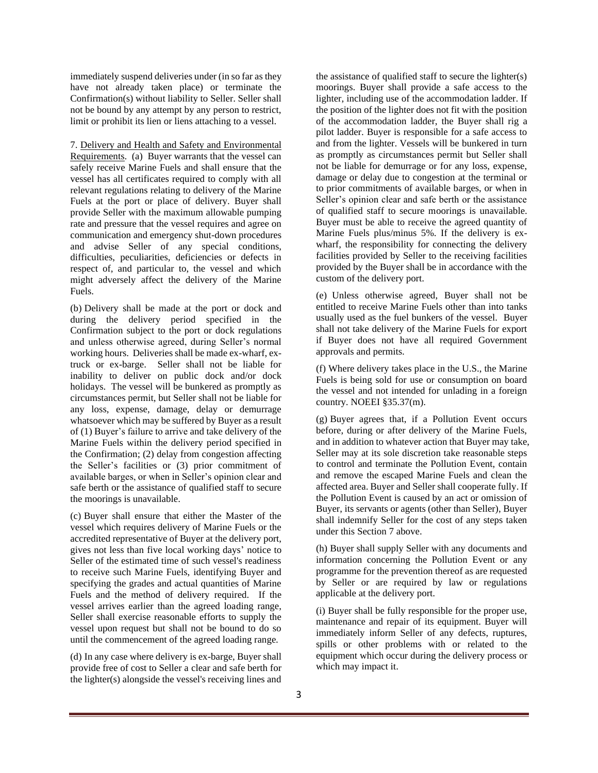immediately suspend deliveries under (in so far as they have not already taken place) or terminate the Confirmation(s) without liability to Seller. Seller shall not be bound by any attempt by any person to restrict, limit or prohibit its lien or liens attaching to a vessel.

<span id="page-2-0"></span>7. Delivery and Health and Safety and Environmental Requirements. (a) Buyer warrants that the vessel can safely receive Marine Fuels and shall ensure that the vessel has all certificates required to comply with all relevant regulations relating to delivery of the Marine Fuels at the port or place of delivery. Buyer shall provide Seller with the maximum allowable pumping rate and pressure that the vessel requires and agree on communication and emergency shut-down procedures and advise Seller of any special conditions, difficulties, peculiarities, deficiencies or defects in respect of, and particular to, the vessel and which might adversely affect the delivery of the Marine Fuels.

(b) Delivery shall be made at the port or dock and during the delivery period specified in the Confirmation subject to the port or dock regulations and unless otherwise agreed, during Seller's normal working hours. Deliveries shall be made ex-wharf, extruck or ex-barge. Seller shall not be liable for inability to deliver on public dock and/or dock holidays. The vessel will be bunkered as promptly as circumstances permit, but Seller shall not be liable for any loss, expense, damage, delay or demurrage whatsoever which may be suffered by Buyer as a result of (1) Buyer's failure to arrive and take delivery of the Marine Fuels within the delivery period specified in the Confirmation; (2) delay from congestion affecting the Seller's facilities or (3) prior commitment of available barges, or when in Seller's opinion clear and safe berth or the assistance of qualified staff to secure the moorings is unavailable.

(c) Buyer shall ensure that either the Master of the vessel which requires delivery of Marine Fuels or the accredited representative of Buyer at the delivery port, gives not less than five local working days' notice to Seller of the estimated time of such vessel's readiness to receive such Marine Fuels, identifying Buyer and specifying the grades and actual quantities of Marine Fuels and the method of delivery required. If the vessel arrives earlier than the agreed loading range, Seller shall exercise reasonable efforts to supply the vessel upon request but shall not be bound to do so until the commencement of the agreed loading range.

(d) In any case where delivery is ex-barge, Buyer shall provide free of cost to Seller a clear and safe berth for the lighter(s) alongside the vessel's receiving lines and

the assistance of qualified staff to secure the lighter(s) moorings. Buyer shall provide a safe access to the lighter, including use of the accommodation ladder. If the position of the lighter does not fit with the position of the accommodation ladder, the Buyer shall rig a pilot ladder. Buyer is responsible for a safe access to and from the lighter. Vessels will be bunkered in turn as promptly as circumstances permit but Seller shall not be liable for demurrage or for any loss, expense, damage or delay due to congestion at the terminal or to prior commitments of available barges, or when in Seller's opinion clear and safe berth or the assistance of qualified staff to secure moorings is unavailable. Buyer must be able to receive the agreed quantity of Marine Fuels plus/minus 5%. If the delivery is exwharf, the responsibility for connecting the delivery facilities provided by Seller to the receiving facilities provided by the Buyer shall be in accordance with the custom of the delivery port.

(e) Unless otherwise agreed, Buyer shall not be entitled to receive Marine Fuels other than into tanks usually used as the fuel bunkers of the vessel. Buyer shall not take delivery of the Marine Fuels for export if Buyer does not have all required Government approvals and permits.

(f) Where delivery takes place in the U.S., the Marine Fuels is being sold for use or consumption on board the vessel and not intended for unlading in a foreign country. NOEEI §35.37(m).

(g) Buyer agrees that, if a Pollution Event occurs before, during or after delivery of the Marine Fuels, and in addition to whatever action that Buyer may take, Seller may at its sole discretion take reasonable steps to control and terminate the Pollution Event, contain and remove the escaped Marine Fuels and clean the affected area. Buyer and Seller shall cooperate fully. If the Pollution Event is caused by an act or omission of Buyer, its servants or agents (other than Seller), Buyer shall indemnify Seller for the cost of any steps taken under this Section [7 above.](#page-2-0)

(h) Buyer shall supply Seller with any documents and information concerning the Pollution Event or any programme for the prevention thereof as are requested by Seller or are required by law or regulations applicable at the delivery port.

(i) Buyer shall be fully responsible for the proper use, maintenance and repair of its equipment. Buyer will immediately inform Seller of any defects, ruptures, spills or other problems with or related to the equipment which occur during the delivery process or which may impact it.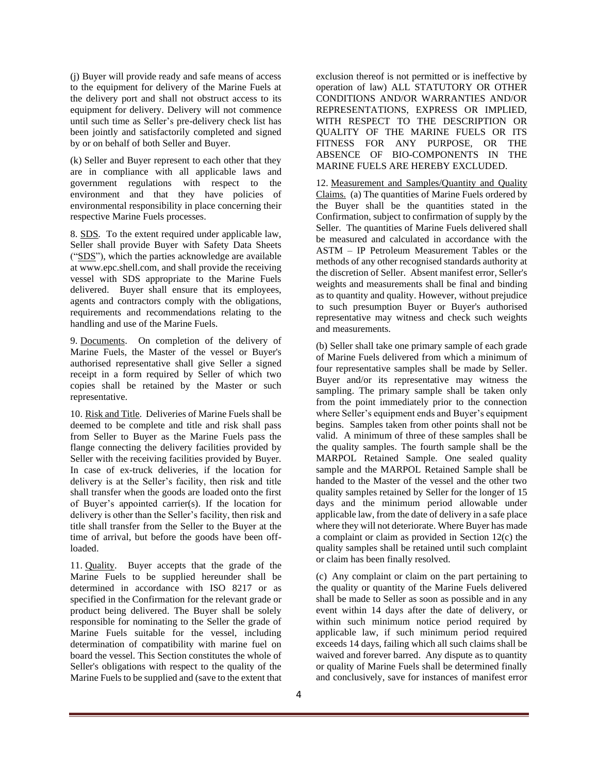(j) Buyer will provide ready and safe means of access to the equipment for delivery of the Marine Fuels at the delivery port and shall not obstruct access to its equipment for delivery. Delivery will not commence until such time as Seller's pre-delivery check list has been jointly and satisfactorily completed and signed by or on behalf of both Seller and Buyer.

(k) Seller and Buyer represent to each other that they are in compliance with all applicable laws and government regulations with respect to the environment and that they have policies of environmental responsibility in place concerning their respective Marine Fuels processes.

8. SDS. To the extent required under applicable law, Seller shall provide Buyer with Safety Data Sheets ("SDS"), which the parties acknowledge are available at www.epc.shell.com, and shall provide the receiving vessel with SDS appropriate to the Marine Fuels delivered. Buyer shall ensure that its employees, agents and contractors comply with the obligations, requirements and recommendations relating to the handling and use of the Marine Fuels.

9. Documents. On completion of the delivery of Marine Fuels, the Master of the vessel or Buyer's authorised representative shall give Seller a signed receipt in a form required by Seller of which two copies shall be retained by the Master or such representative.

10. Risk and Title. Deliveries of Marine Fuels shall be deemed to be complete and title and risk shall pass from Seller to Buyer as the Marine Fuels pass the flange connecting the delivery facilities provided by Seller with the receiving facilities provided by Buyer. In case of ex-truck deliveries, if the location for delivery is at the Seller's facility, then risk and title shall transfer when the goods are loaded onto the first of Buyer's appointed carrier(s). If the location for delivery is other than the Seller's facility, then risk and title shall transfer from the Seller to the Buyer at the time of arrival, but before the goods have been offloaded.

11. Quality. Buyer accepts that the grade of the Marine Fuels to be supplied hereunder shall be determined in accordance with ISO 8217 or as specified in the Confirmation for the relevant grade or product being delivered. The Buyer shall be solely responsible for nominating to the Seller the grade of Marine Fuels suitable for the vessel, including determination of compatibility with marine fuel on board the vessel. This Section constitutes the whole of Seller's obligations with respect to the quality of the Marine Fuels to be supplied and (save to the extent that

exclusion thereof is not permitted or is ineffective by operation of law) ALL STATUTORY OR OTHER CONDITIONS AND/OR WARRANTIES AND/OR REPRESENTATIONS, EXPRESS OR IMPLIED, WITH RESPECT TO THE DESCRIPTION OR QUALITY OF THE MARINE FUELS OR ITS FITNESS FOR ANY PURPOSE, OR THE ABSENCE OF BIO-COMPONENTS IN THE MARINE FUELS ARE HEREBY EXCLUDED.

12. Measurement and Samples/Quantity and Quality Claims. (a) The quantities of Marine Fuels ordered by the Buyer shall be the quantities stated in the Confirmation, subject to confirmation of supply by the Seller. The quantities of Marine Fuels delivered shall be measured and calculated in accordance with the ASTM – IP Petroleum Measurement Tables or the methods of any other recognised standards authority at the discretion of Seller. Absent manifest error, Seller's weights and measurements shall be final and binding as to quantity and quality. However, without prejudice to such presumption Buyer or Buyer's authorised representative may witness and check such weights and measurements.

(b) Seller shall take one primary sample of each grade of Marine Fuels delivered from which a minimum of four representative samples shall be made by Seller. Buyer and/or its representative may witness the sampling. The primary sample shall be taken only from the point immediately prior to the connection where Seller's equipment ends and Buyer's equipment begins. Samples taken from other points shall not be valid. A minimum of three of these samples shall be the quality samples. The fourth sample shall be the MARPOL Retained Sample. One sealed quality sample and the MARPOL Retained Sample shall be handed to the Master of the vessel and the other two quality samples retained by Seller for the longer of 15 days and the minimum period allowable under applicable law, from the date of delivery in a safe place where they will not deteriorate. Where Buyer has made a complaint or claim as provided in Section 12(c) the quality samples shall be retained until such complaint or claim has been finally resolved.

(c) Any complaint or claim on the part pertaining to the quality or quantity of the Marine Fuels delivered shall be made to Seller as soon as possible and in any event within 14 days after the date of delivery, or within such minimum notice period required by applicable law, if such minimum period required exceeds 14 days, failing which all such claims shall be waived and forever barred. Any dispute as to quantity or quality of Marine Fuels shall be determined finally and conclusively, save for instances of manifest error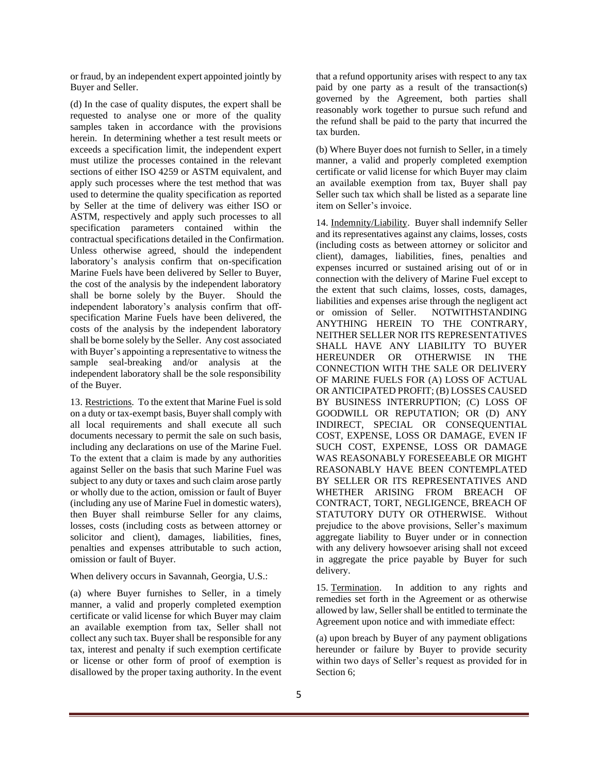or fraud, by an independent expert appointed jointly by Buyer and Seller.

(d) In the case of quality disputes, the expert shall be requested to analyse one or more of the quality samples taken in accordance with the provisions herein. In determining whether a test result meets or exceeds a specification limit, the independent expert must utilize the processes contained in the relevant sections of either ISO 4259 or ASTM equivalent, and apply such processes where the test method that was used to determine the quality specification as reported by Seller at the time of delivery was either ISO or ASTM, respectively and apply such processes to all specification parameters contained within the contractual specifications detailed in the Confirmation. Unless otherwise agreed, should the independent laboratory's analysis confirm that on-specification Marine Fuels have been delivered by Seller to Buyer, the cost of the analysis by the independent laboratory shall be borne solely by the Buyer. Should the independent laboratory's analysis confirm that offspecification Marine Fuels have been delivered, the costs of the analysis by the independent laboratory shall be borne solely by the Seller. Any cost associated with Buyer's appointing a representative to witness the sample seal-breaking and/or analysis at the independent laboratory shall be the sole responsibility of the Buyer.

13. Restrictions. To the extent that Marine Fuel is sold on a duty or tax-exempt basis, Buyer shall comply with all local requirements and shall execute all such documents necessary to permit the sale on such basis, including any declarations on use of the Marine Fuel. To the extent that a claim is made by any authorities against Seller on the basis that such Marine Fuel was subject to any duty or taxes and such claim arose partly or wholly due to the action, omission or fault of Buyer (including any use of Marine Fuel in domestic waters), then Buyer shall reimburse Seller for any claims, losses, costs (including costs as between attorney or solicitor and client), damages, liabilities, fines, penalties and expenses attributable to such action, omission or fault of Buyer.

## When delivery occurs in Savannah, Georgia, U.S.:

(a) where Buyer furnishes to Seller, in a timely manner, a valid and properly completed exemption certificate or valid license for which Buyer may claim an available exemption from tax, Seller shall not collect any such tax. Buyer shall be responsible for any tax, interest and penalty if such exemption certificate or license or other form of proof of exemption is disallowed by the proper taxing authority. In the event

that a refund opportunity arises with respect to any tax paid by one party as a result of the transaction(s) governed by the Agreement, both parties shall reasonably work together to pursue such refund and the refund shall be paid to the party that incurred the tax burden.

(b) Where Buyer does not furnish to Seller, in a timely manner, a valid and properly completed exemption certificate or valid license for which Buyer may claim an available exemption from tax, Buyer shall pay Seller such tax which shall be listed as a separate line item on Seller's invoice.

14. Indemnity/Liability. Buyer shall indemnify Seller and its representatives against any claims, losses, costs (including costs as between attorney or solicitor and client), damages, liabilities, fines, penalties and expenses incurred or sustained arising out of or in connection with the delivery of Marine Fuel except to the extent that such claims, losses, costs, damages, liabilities and expenses arise through the negligent act or omission of Seller. NOTWITHSTANDING ANYTHING HEREIN TO THE CONTRARY, NEITHER SELLER NOR ITS REPRESENTATIVES SHALL HAVE ANY LIABILITY TO BUYER HEREUNDER OR OTHERWISE IN THE CONNECTION WITH THE SALE OR DELIVERY OF MARINE FUELS FOR (A) LOSS OF ACTUAL OR ANTICIPATED PROFIT; (B) LOSSES CAUSED BY BUSINESS INTERRUPTION; (C) LOSS OF GOODWILL OR REPUTATION; OR (D) ANY INDIRECT, SPECIAL OR CONSEQUENTIAL COST, EXPENSE, LOSS OR DAMAGE, EVEN IF SUCH COST, EXPENSE, LOSS OR DAMAGE WAS REASONABLY FORESEEABLE OR MIGHT REASONABLY HAVE BEEN CONTEMPLATED BY SELLER OR ITS REPRESENTATIVES AND WHETHER ARISING FROM BREACH OF CONTRACT, TORT, NEGLIGENCE, BREACH OF STATUTORY DUTY OR OTHERWISE. Without prejudice to the above provisions, Seller's maximum aggregate liability to Buyer under or in connection with any delivery howsoever arising shall not exceed in aggregate the price payable by Buyer for such delivery.

<span id="page-4-0"></span>15. Termination. In addition to any rights and remedies set forth in the Agreement or as otherwise allowed by law, Seller shall be entitled to terminate the Agreement upon notice and with immediate effect:

<span id="page-4-1"></span>(a) upon breach by Buyer of any payment obligations hereunder or failure by Buyer to provide security within two days of Seller's request as provided for in Section [6;](#page-1-1)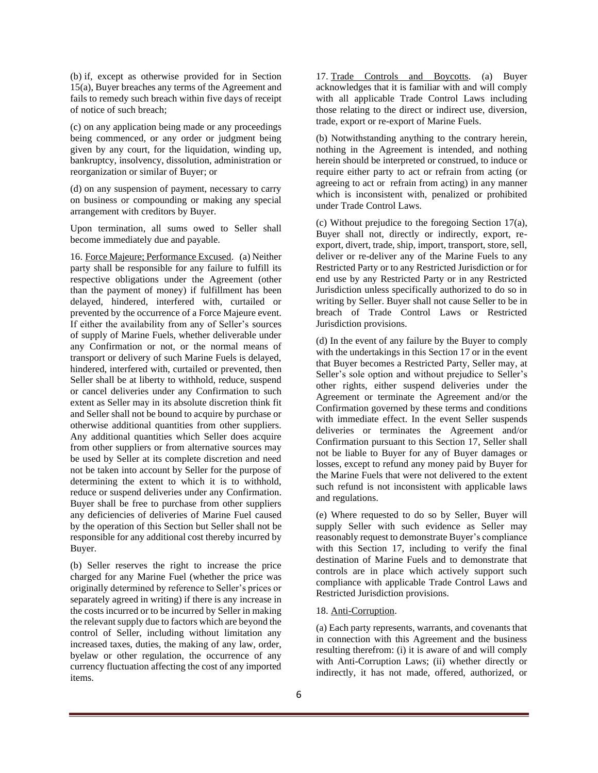(b) if, except as otherwise provided for in Section [15](#page-4-0)[\(a\),](#page-4-1) Buyer breaches any terms of the Agreement and fails to remedy such breach within five days of receipt of notice of such breach;

(c) on any application being made or any proceedings being commenced, or any order or judgment being given by any court, for the liquidation, winding up, bankruptcy, insolvency, dissolution, administration or reorganization or similar of Buyer; or

(d) on any suspension of payment, necessary to carry on business or compounding or making any special arrangement with creditors by Buyer.

Upon termination, all sums owed to Seller shall become immediately due and payable.

16. Force Majeure; Performance Excused. (a) Neither party shall be responsible for any failure to fulfill its respective obligations under the Agreement (other than the payment of money) if fulfillment has been delayed, hindered, interfered with, curtailed or prevented by the occurrence of a Force Majeure event. If either the availability from any of Seller's sources of supply of Marine Fuels, whether deliverable under any Confirmation or not, or the normal means of transport or delivery of such Marine Fuels is delayed, hindered, interfered with, curtailed or prevented, then Seller shall be at liberty to withhold, reduce, suspend or cancel deliveries under any Confirmation to such extent as Seller may in its absolute discretion think fit and Seller shall not be bound to acquire by purchase or otherwise additional quantities from other suppliers. Any additional quantities which Seller does acquire from other suppliers or from alternative sources may be used by Seller at its complete discretion and need not be taken into account by Seller for the purpose of determining the extent to which it is to withhold, reduce or suspend deliveries under any Confirmation. Buyer shall be free to purchase from other suppliers any deficiencies of deliveries of Marine Fuel caused by the operation of this Section but Seller shall not be responsible for any additional cost thereby incurred by Buyer.

(b) Seller reserves the right to increase the price charged for any Marine Fuel (whether the price was originally determined by reference to Seller's prices or separately agreed in writing) if there is any increase in the costs incurred or to be incurred by Seller in making the relevant supply due to factors which are beyond the control of Seller, including without limitation any increased taxes, duties, the making of any law, order, byelaw or other regulation, the occurrence of any currency fluctuation affecting the cost of any imported items.

17. Trade Controls and Boycotts. (a) Buyer acknowledges that it is familiar with and will comply with all applicable Trade Control Laws including those relating to the direct or indirect use, diversion, trade, export or re-export of Marine Fuels.

(b) Notwithstanding anything to the contrary herein, nothing in the Agreement is intended, and nothing herein should be interpreted or construed, to induce or require either party to act or refrain from acting (or agreeing to act or refrain from acting) in any manner which is inconsistent with, penalized or prohibited under Trade Control Laws.

(c) Without prejudice to the foregoing Section 17(a), Buyer shall not, directly or indirectly, export, reexport, divert, trade, ship, import, transport, store, sell, deliver or re-deliver any of the Marine Fuels to any Restricted Party or to any Restricted Jurisdiction or for end use by any Restricted Party or in any Restricted Jurisdiction unless specifically authorized to do so in writing by Seller. Buyer shall not cause Seller to be in breach of Trade Control Laws or Restricted Jurisdiction provisions.

(d) In the event of any failure by the Buyer to comply with the undertakings in this Section 17 or in the event that Buyer becomes a Restricted Party, Seller may, at Seller's sole option and without prejudice to Seller's other rights, either suspend deliveries under the Agreement or terminate the Agreement and/or the Confirmation governed by these terms and conditions with immediate effect. In the event Seller suspends deliveries or terminates the Agreement and/or Confirmation pursuant to this Section 17, Seller shall not be liable to Buyer for any of Buyer damages or losses, except to refund any money paid by Buyer for the Marine Fuels that were not delivered to the extent such refund is not inconsistent with applicable laws and regulations.

(e) Where requested to do so by Seller, Buyer will supply Seller with such evidence as Seller may reasonably request to demonstrate Buyer's compliance with this Section 17, including to verify the final destination of Marine Fuels and to demonstrate that controls are in place which actively support such compliance with applicable Trade Control Laws and Restricted Jurisdiction provisions.

## 18. Anti-Corruption.

(a) Each party represents, warrants, and covenants that in connection with this Agreement and the business resulting therefrom: (i) it is aware of and will comply with Anti-Corruption Laws; (ii) whether directly or indirectly, it has not made, offered, authorized, or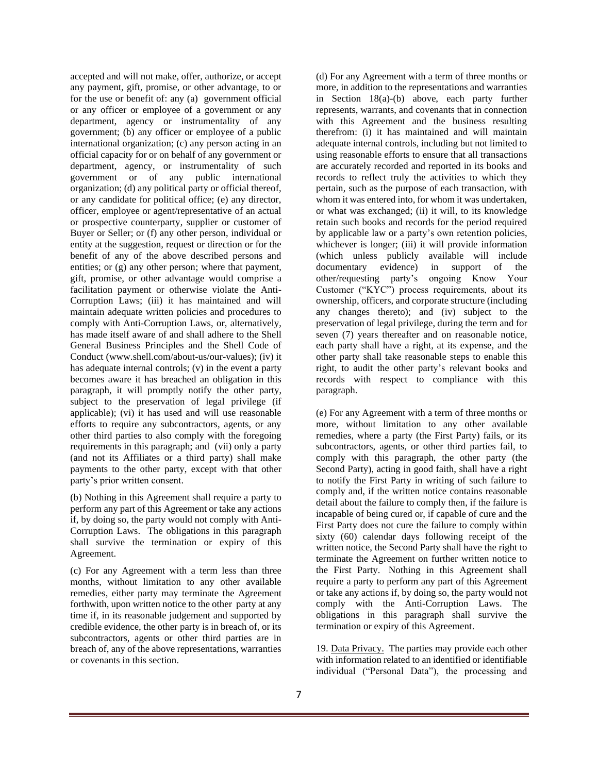accepted and will not make, offer, authorize, or accept any payment, gift, promise, or other advantage, to or for the use or benefit of: any (a) government official or any officer or employee of a government or any department, agency or instrumentality of any government; (b) any officer or employee of a public international organization; (c) any person acting in an official capacity for or on behalf of any government or department, agency, or instrumentality of such government or of any public international organization; (d) any political party or official thereof, or any candidate for political office; (e) any director, officer, employee or agent/representative of an actual or prospective counterparty, supplier or customer of Buyer or Seller; or (f) any other person, individual or entity at the suggestion, request or direction or for the benefit of any of the above described persons and entities; or (g) any other person; where that payment, gift, promise, or other advantage would comprise a facilitation payment or otherwise violate the Anti-Corruption Laws; (iii) it has maintained and will maintain adequate written policies and procedures to comply with Anti-Corruption Laws, or, alternatively, has made itself aware of and shall adhere to the Shell General Business Principles and the Shell Code of Conduct [\(www.shell.com/about-us/our-values\);](http://www.shell.com/about-us/our-values)) (iv) it has adequate internal controls; (v) in the event a party becomes aware it has breached an obligation in this paragraph, it will promptly notify the other party, subject to the preservation of legal privilege (if applicable); (vi) it has used and will use reasonable efforts to require any subcontractors, agents, or any other third parties to also comply with the foregoing requirements in this paragraph; and (vii) only a party (and not its Affiliates or a third party) shall make payments to the other party, except with that other party's prior written consent.

(b) Nothing in this Agreement shall require a party to perform any part of this Agreement or take any actions if, by doing so, the party would not comply with Anti-Corruption Laws. The obligations in this paragraph shall survive the termination or expiry of this Agreement.

(c) For any Agreement with a term less than three months, without limitation to any other available remedies, either party may terminate the Agreement forthwith, upon written notice to the other party at any time if, in its reasonable judgement and supported by credible evidence, the other party is in breach of, or its subcontractors, agents or other third parties are in breach of, any of the above representations, warranties or covenants in this section.

(d) For any Agreement with a term of three months or more, in addition to the representations and warranties in Section 18(a)-(b) above, each party further represents, warrants, and covenants that in connection with this Agreement and the business resulting therefrom: (i) it has maintained and will maintain adequate internal controls, including but not limited to using reasonable efforts to ensure that all transactions are accurately recorded and reported in its books and records to reflect truly the activities to which they pertain, such as the purpose of each transaction, with whom it was entered into, for whom it was undertaken, or what was exchanged; (ii) it will, to its knowledge retain such books and records for the period required by applicable law or a party's own retention policies, whichever is longer; (iii) it will provide information (which unless publicly available will include documentary evidence) in support of the other/requesting party's ongoing Know Your Customer ("KYC") process requirements, about its ownership, officers, and corporate structure (including any changes thereto); and (iv) subject to the preservation of legal privilege, during the term and for seven (7) years thereafter and on reasonable notice, each party shall have a right, at its expense, and the other party shall take reasonable steps to enable this right, to audit the other party's relevant books and records with respect to compliance with this paragraph.

(e) For any Agreement with a term of three months or more, without limitation to any other available remedies, where a party (the First Party) fails, or its subcontractors, agents, or other third parties fail, to comply with this paragraph, the other party (the Second Party), acting in good faith, shall have a right to notify the First Party in writing of such failure to comply and, if the written notice contains reasonable detail about the failure to comply then, if the failure is incapable of being cured or, if capable of cure and the First Party does not cure the failure to comply within sixty (60) calendar days following receipt of the written notice, the Second Party shall have the right to terminate the Agreement on further written notice to the First Party. Nothing in this Agreement shall require a party to perform any part of this Agreement or take any actions if, by doing so, the party would not comply with the Anti-Corruption Laws. The obligations in this paragraph shall survive the termination or expiry of this Agreement.

19. Data Privacy. The parties may provide each other with information related to an identified or identifiable individual ("Personal Data"), the processing and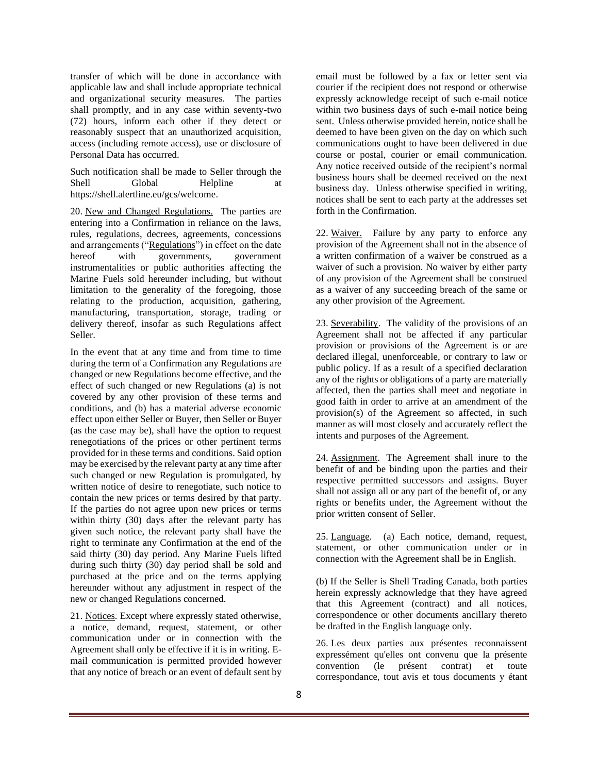transfer of which will be done in accordance with applicable law and shall include appropriate technical and organizational security measures. The parties shall promptly, and in any case within seventy-two (72) hours, inform each other if they detect or reasonably suspect that an unauthorized acquisition, access (including remote access), use or disclosure of Personal Data has occurred.

Such notification shall be made to Seller through the Shell Global Helpline at https://shell.alertline.eu/gcs/welcome.

20. New and Changed Regulations. The parties are entering into a Confirmation in reliance on the laws, rules, regulations, decrees, agreements, concessions and arrangements ("Regulations") in effect on the date hereof with governments, government instrumentalities or public authorities affecting the Marine Fuels sold hereunder including, but without limitation to the generality of the foregoing, those relating to the production, acquisition, gathering, manufacturing, transportation, storage, trading or delivery thereof, insofar as such Regulations affect Seller.

In the event that at any time and from time to time during the term of a Confirmation any Regulations are changed or new Regulations become effective, and the effect of such changed or new Regulations (a) is not covered by any other provision of these terms and conditions, and (b) has a material adverse economic effect upon either Seller or Buyer, then Seller or Buyer (as the case may be), shall have the option to request renegotiations of the prices or other pertinent terms provided for in these terms and conditions. Said option may be exercised by the relevant party at any time after such changed or new Regulation is promulgated, by written notice of desire to renegotiate, such notice to contain the new prices or terms desired by that party. If the parties do not agree upon new prices or terms within thirty (30) days after the relevant party has given such notice, the relevant party shall have the right to terminate any Confirmation at the end of the said thirty (30) day period. Any Marine Fuels lifted during such thirty (30) day period shall be sold and purchased at the price and on the terms applying hereunder without any adjustment in respect of the new or changed Regulations concerned.

21. Notices. Except where expressly stated otherwise, a notice, demand, request, statement, or other communication under or in connection with the Agreement shall only be effective if it is in writing. Email communication is permitted provided however that any notice of breach or an event of default sent by

email must be followed by a fax or letter sent via courier if the recipient does not respond or otherwise expressly acknowledge receipt of such e-mail notice within two business days of such e-mail notice being sent. Unless otherwise provided herein, notice shall be deemed to have been given on the day on which such communications ought to have been delivered in due course or postal, courier or email communication. Any notice received outside of the recipient's normal business hours shall be deemed received on the next business day. Unless otherwise specified in writing, notices shall be sent to each party at the addresses set forth in the Confirmation.

22. Waiver. Failure by any party to enforce any provision of the Agreement shall not in the absence of a written confirmation of a waiver be construed as a waiver of such a provision. No waiver by either party of any provision of the Agreement shall be construed as a waiver of any succeeding breach of the same or any other provision of the Agreement.

23. Severability. The validity of the provisions of an Agreement shall not be affected if any particular provision or provisions of the Agreement is or are declared illegal, unenforceable, or contrary to law or public policy. If as a result of a specified declaration any of the rights or obligations of a party are materially affected, then the parties shall meet and negotiate in good faith in order to arrive at an amendment of the provision(s) of the Agreement so affected, in such manner as will most closely and accurately reflect the intents and purposes of the Agreement.

24. Assignment. The Agreement shall inure to the benefit of and be binding upon the parties and their respective permitted successors and assigns. Buyer shall not assign all or any part of the benefit of, or any rights or benefits under, the Agreement without the prior written consent of Seller.

25. Language. (a) Each notice, demand, request, statement, or other communication under or in connection with the Agreement shall be in English.

(b) If the Seller is Shell Trading Canada, both parties herein expressly acknowledge that they have agreed that this Agreement (contract) and all notices, correspondence or other documents ancillary thereto be drafted in the English language only.

26. Les deux parties aux présentes reconnaissent expressément qu'elles ont convenu que la présente convention (le présent contrat) et toute correspondance, tout avis et tous documents y étant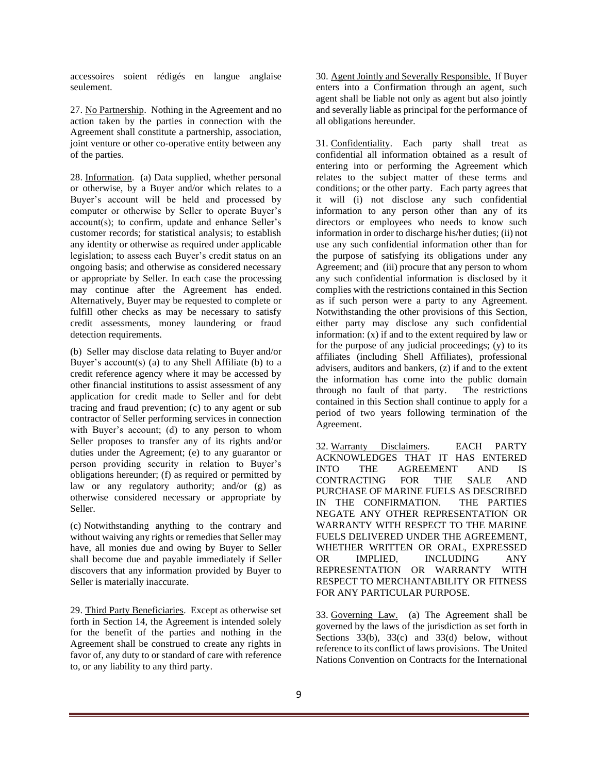accessoires soient rédigés en langue anglaise seulement.

27. No Partnership. Nothing in the Agreement and no action taken by the parties in connection with the Agreement shall constitute a partnership, association, joint venture or other co-operative entity between any of the parties.

28. Information. (a) Data supplied, whether personal or otherwise, by a Buyer and/or which relates to a Buyer's account will be held and processed by computer or otherwise by Seller to operate Buyer's account(s); to confirm, update and enhance Seller's customer records; for statistical analysis; to establish any identity or otherwise as required under applicable legislation; to assess each Buyer's credit status on an ongoing basis; and otherwise as considered necessary or appropriate by Seller. In each case the processing may continue after the Agreement has ended. Alternatively, Buyer may be requested to complete or fulfill other checks as may be necessary to satisfy credit assessments, money laundering or fraud detection requirements.

(b) Seller may disclose data relating to Buyer and/or Buyer's account(s) (a) to any Shell Affiliate (b) to a credit reference agency where it may be accessed by other financial institutions to assist assessment of any application for credit made to Seller and for debt tracing and fraud prevention; (c) to any agent or sub contractor of Seller performing services in connection with Buyer's account; (d) to any person to whom Seller proposes to transfer any of its rights and/or duties under the Agreement; (e) to any guarantor or person providing security in relation to Buyer's obligations hereunder; (f) as required or permitted by law or any regulatory authority; and/or (g) as otherwise considered necessary or appropriate by Seller.

(c) Notwithstanding anything to the contrary and without waiving any rights or remedies that Seller may have, all monies due and owing by Buyer to Seller shall become due and payable immediately if Seller discovers that any information provided by Buyer to Seller is materially inaccurate.

29. Third Party Beneficiaries. Except as otherwise set forth in Section 14, the Agreement is intended solely for the benefit of the parties and nothing in the Agreement shall be construed to create any rights in favor of, any duty to or standard of care with reference to, or any liability to any third party.

30. Agent Jointly and Severally Responsible. If Buyer enters into a Confirmation through an agent, such agent shall be liable not only as agent but also jointly and severally liable as principal for the performance of all obligations hereunder.

31. Confidentiality. Each party shall treat as confidential all information obtained as a result of entering into or performing the Agreement which relates to the subject matter of these terms and conditions; or the other party. Each party agrees that it will (i) not disclose any such confidential information to any person other than any of its directors or employees who needs to know such information in order to discharge his/her duties; (ii) not use any such confidential information other than for the purpose of satisfying its obligations under any Agreement; and (iii) procure that any person to whom any such confidential information is disclosed by it complies with the restrictions contained in this Section as if such person were a party to any Agreement. Notwithstanding the other provisions of this Section, either party may disclose any such confidential information: (x) if and to the extent required by law or for the purpose of any judicial proceedings; (y) to its affiliates (including Shell Affiliates), professional advisers, auditors and bankers, (z) if and to the extent the information has come into the public domain through no fault of that party. The restrictions contained in this Section shall continue to apply for a period of two years following termination of the Agreement.

32. Warranty Disclaimers. EACH PARTY ACKNOWLEDGES THAT IT HAS ENTERED INTO THE AGREEMENT AND IS CONTRACTING FOR THE SALE AND PURCHASE OF MARINE FUELS AS DESCRIBED IN THE CONFIRMATION. THE PARTIES NEGATE ANY OTHER REPRESENTATION OR WARRANTY WITH RESPECT TO THE MARINE FUELS DELIVERED UNDER THE AGREEMENT, WHETHER WRITTEN OR ORAL, EXPRESSED OR IMPLIED, INCLUDING ANY REPRESENTATION OR WARRANTY WITH RESPECT TO MERCHANTABILITY OR FITNESS FOR ANY PARTICULAR PURPOSE.

33. Governing Law. (a) The Agreement shall be governed by the laws of the jurisdiction as set forth in Sections 33(b), 33(c) and 33(d) below, without reference to its conflict of laws provisions. The United Nations Convention on Contracts for the International